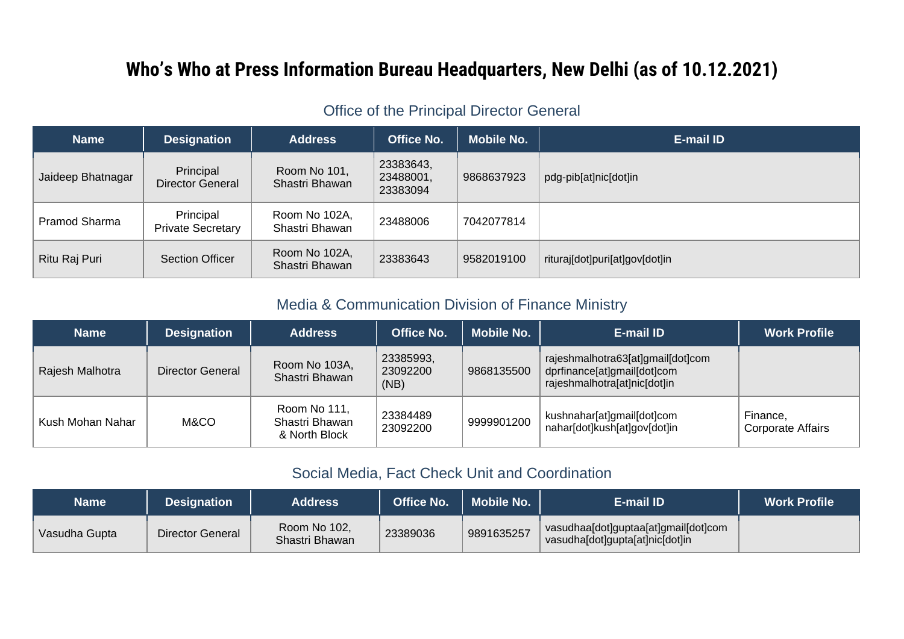# **Who's Who at Press Information Bureau Headquarters, New Delhi (as of 10.12.2021)**

## Office of the Principal Director General

| <b>Name</b>       | <b>Designation</b>                    | <b>Address</b>                  | <b>Office No.</b>                  | <b>Mobile No.</b> | E-mail ID                      |
|-------------------|---------------------------------------|---------------------------------|------------------------------------|-------------------|--------------------------------|
| Jaideep Bhatnagar | Principal<br><b>Director General</b>  | Room No 101,<br>Shastri Bhawan  | 23383643,<br>23488001,<br>23383094 | 9868637923        | pdg-pib[at]nic[dot]in          |
| Pramod Sharma     | Principal<br><b>Private Secretary</b> | Room No 102A,<br>Shastri Bhawan | 23488006                           | 7042077814        |                                |
| Ritu Raj Puri     | Section Officer                       | Room No 102A,<br>Shastri Bhawan | 23383643                           | 9582019100        | rituraj[dot]puri[at]gov[dot]in |

## Media & Communication Division of Finance Ministry

| <b>Name</b>      | <b>Designation</b> | <b>Address</b>                                  | <b>Office No.</b>             | <b>Mobile No.</b> | E-mail ID                                                                                        | <b>Work Profile</b>                  |
|------------------|--------------------|-------------------------------------------------|-------------------------------|-------------------|--------------------------------------------------------------------------------------------------|--------------------------------------|
| Rajesh Malhotra  | Director General   | Room No 103A,<br>Shastri Bhawan                 | 23385993,<br>23092200<br>(NB) | 9868135500        | rajeshmalhotra63[at]gmail[dot]com<br>dprfinance[at]gmail[dot]com<br>rajeshmalhotra[at]nic[dot]in |                                      |
| Kush Mohan Nahar | M&CO               | Room No 111,<br>Shastri Bhawan<br>& North Block | 23384489<br>23092200          | 9999901200        | kushnahar[at]gmail[dot]com<br>nahar[dot]kush[at]gov[dot]in                                       | Finance,<br><b>Corporate Affairs</b> |

#### Social Media, Fact Check Unit and Coordination

| Name          | <b>Designation</b> | <b>Address</b>                 | <b>Office No.</b> | <b>Mobile No.</b> | E-mail ID                                                               | <b>Work Profile</b> |
|---------------|--------------------|--------------------------------|-------------------|-------------------|-------------------------------------------------------------------------|---------------------|
| Vasudha Gupta | Director General   | Room No 102,<br>Shastri Bhawan | 23389036          | 9891635257        | vasudhaa[dot]guptaa[at]gmail[dot]com<br>vasudha[dot]gupta[at]nic[dot]in |                     |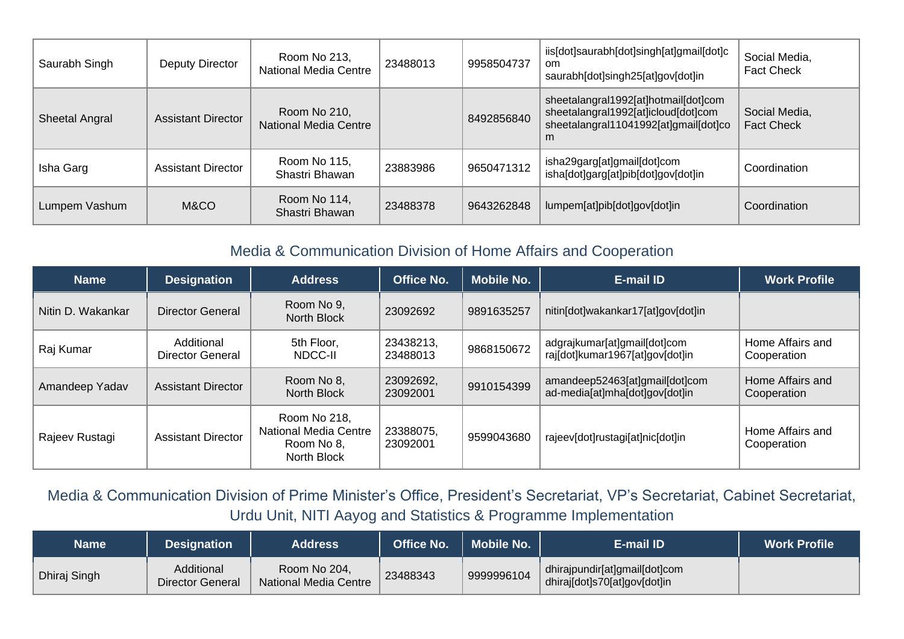| Saurabh Singh         | Deputy Director           | Room No 213,<br><b>National Media Centre</b> | 23488013 | 9958504737 | iis[dot]saurabh[dot]singh[at]gmail[dot]c<br><sub>om</sub><br>saurabh[dot]singh25[at]gov[dot]in                            | Social Media,<br><b>Fact Check</b> |
|-----------------------|---------------------------|----------------------------------------------|----------|------------|---------------------------------------------------------------------------------------------------------------------------|------------------------------------|
| <b>Sheetal Angral</b> | <b>Assistant Director</b> | Room No 210,<br><b>National Media Centre</b> |          | 8492856840 | sheetalangral1992[at]hotmail[dot]com<br>sheetalangral1992[at]icloud[dot]com<br>sheetalangral11041992[at]gmail[dot]co<br>m | Social Media,<br><b>Fact Check</b> |
| Isha Garg             | <b>Assistant Director</b> | Room No 115,<br>Shastri Bhawan               | 23883986 | 9650471312 | isha29garg[at]gmail[dot]com<br>isha[dot]garg[at]pib[dot]gov[dot]in                                                        | Coordination                       |
| Lumpem Vashum         | M&CO                      | Room No 114,<br>Shastri Bhawan               | 23488378 | 9643262848 | lumpem[at]pib[dot]gov[dot]in                                                                                              | Coordination                       |

## Media & Communication Division of Home Affairs and Cooperation

| <b>Name</b>       | <b>Designation</b>             | <b>Address</b>                                                            | <b>Office No.</b>     | <b>Mobile No.</b> | <b>E-mail ID</b>                                                 | <b>Work Profile</b>             |
|-------------------|--------------------------------|---------------------------------------------------------------------------|-----------------------|-------------------|------------------------------------------------------------------|---------------------------------|
| Nitin D. Wakankar | <b>Director General</b>        | Room No 9,<br><b>North Block</b>                                          | 23092692              | 9891635257        | nitin[dot]wakankar17[at]gov[dot]in                               |                                 |
| Raj Kumar         | Additional<br>Director General | 5th Floor,<br>NDCC-II                                                     | 23438213,<br>23488013 | 9868150672        | adgrajkumar[at]gmail[dot]com<br>raj[dot]kumar1967[at]gov[dot]in  | Home Affairs and<br>Cooperation |
| Amandeep Yadav    | <b>Assistant Director</b>      | Room No 8,<br><b>North Block</b>                                          | 23092692,<br>23092001 | 9910154399        | amandeep52463[at]gmail[dot]com<br>ad-media[at]mha[dot]gov[dot]in | Home Affairs and<br>Cooperation |
| Rajeev Rustagi    | <b>Assistant Director</b>      | Room No 218,<br><b>National Media Centre</b><br>Room No 8.<br>North Block | 23388075,<br>23092001 | 9599043680        | rajeev[dot]rustagi[at]nic[dot]in                                 | Home Affairs and<br>Cooperation |

Media & Communication Division of Prime Minister's Office, President's Secretariat, VP's Secretariat, Cabinet Secretariat, Urdu Unit, NITI Aayog and Statistics & Programme Implementation

| Name         | <b>Designation</b>             | <b>Address</b>                               | <b>Office No.</b> | <b>Mobile No.</b> | E-mail ID                                                     | <b>Work Profile</b> |
|--------------|--------------------------------|----------------------------------------------|-------------------|-------------------|---------------------------------------------------------------|---------------------|
| Dhiraj Singh | Additional<br>Director General | Room No 204,<br><b>National Media Centre</b> | 23488343          | 9999996104        | dhirajpundir[at]gmail[dot]com<br>dhiraj[dot]s70[at]gov[dot]in |                     |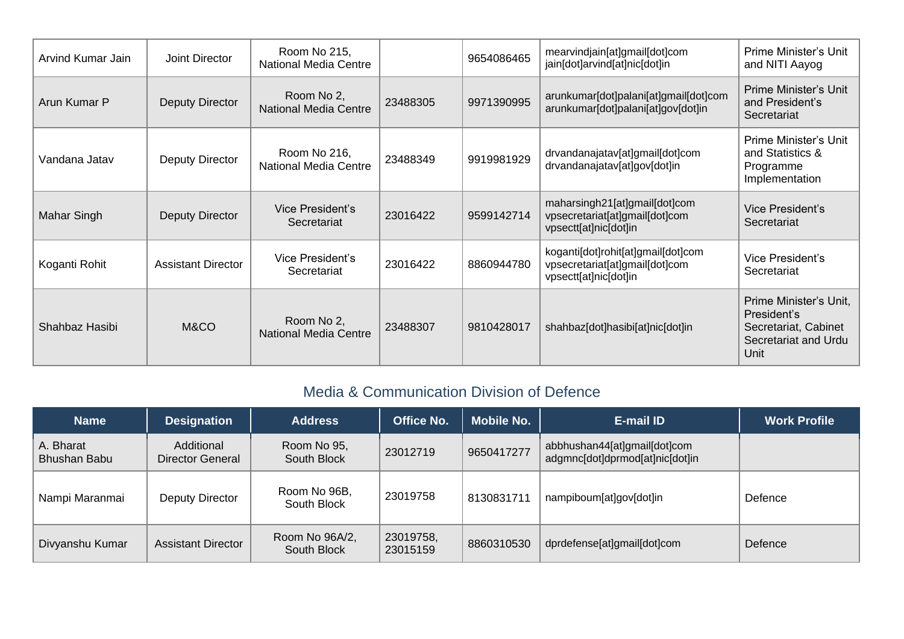| Arvind Kumar Jain | Joint Director            | Room No 215,<br><b>National Media Centre</b> |          | 9654086465 | mearvindjain[at]gmail[dot]com<br>jain[dot]arvind[at]nic[dot]in                                | Prime Minister's Unit<br>and NITI Aayog                                                       |
|-------------------|---------------------------|----------------------------------------------|----------|------------|-----------------------------------------------------------------------------------------------|-----------------------------------------------------------------------------------------------|
| Arun Kumar P      | <b>Deputy Director</b>    | Room No 2,<br><b>National Media Centre</b>   | 23488305 | 9971390995 | arunkumar[dot]palani[at]gmail[dot]com<br>arunkumar[dot]palani[at]gov[dot]in                   | <b>Prime Minister's Unit</b><br>and President's<br>Secretariat                                |
| Vandana Jatav     | Deputy Director           | Room No 216,<br><b>National Media Centre</b> | 23488349 | 9919981929 | drvandanajatav[at]gmail[dot]com<br>drvandanajatav[at]gov[dot]in                               | Prime Minister's Unit<br>and Statistics &<br>Programme<br>Implementation                      |
| Mahar Singh       | <b>Deputy Director</b>    | Vice President's<br>Secretariat              | 23016422 | 9599142714 | maharsingh21[at]gmail[dot]com<br>vpsecretariat[at]gmail[dot]com<br>vpsectt[at]nic[dot]in      | Vice President's<br>Secretariat                                                               |
| Koganti Rohit     | <b>Assistant Director</b> | Vice President's<br>Secretariat              | 23016422 | 8860944780 | koganti[dot]rohit[at]gmail[dot]com<br>vpsecretariat[at]gmail[dot]com<br>vpsectt[at]nic[dot]in | Vice President's<br>Secretariat                                                               |
| Shahbaz Hasibi    | M&CO                      | Room No 2,<br><b>National Media Centre</b>   | 23488307 | 9810428017 | shahbaz[dot]hasibi[at]nic[dot]in                                                              | Prime Minister's Unit,<br>President's<br>Secretariat, Cabinet<br>Secretariat and Urdu<br>Unit |

## Media & Communication Division of Defence

| <b>Name</b>                      | <b>Designation</b>                    | <b>Address</b>                | <b>Office No.</b>     | <b>Mobile No.</b> | E-mail ID                                                       | <b>Work Profile</b> |
|----------------------------------|---------------------------------------|-------------------------------|-----------------------|-------------------|-----------------------------------------------------------------|---------------------|
| A. Bharat<br><b>Bhushan Babu</b> | Additional<br><b>Director General</b> | Room No 95,<br>South Block    | 23012719              | 9650417277        | abbhushan44[at]gmail[dot]com<br>adgmnc[dot]dprmod[at]nic[dot]in |                     |
| Nampi Maranmai                   | Deputy Director                       | Room No 96B,<br>South Block   | 23019758              | 8130831711        | nampiboum[at]gov[dot]in                                         | Defence             |
| Divyanshu Kumar                  | <b>Assistant Director</b>             | Room No 96A/2,<br>South Block | 23019758,<br>23015159 | 8860310530        | dprdefense[at]gmail[dot]com                                     | Defence             |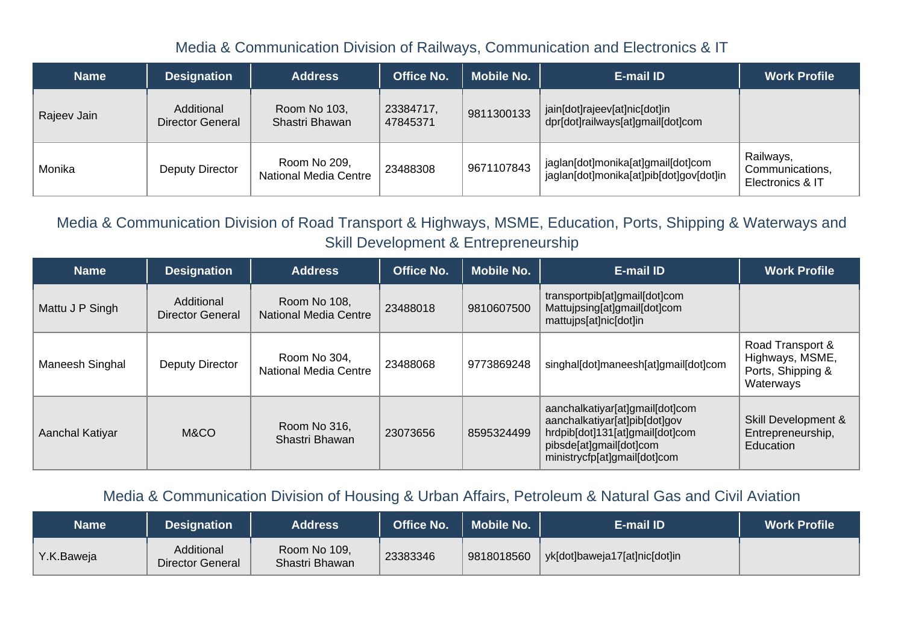#### Media & Communication Division of Railways, Communication and Electronics & IT

| <b>Name</b> | <b>Designation</b>             | <b>Address</b>                               | <b>Office No.</b>     | <b>Mobile No.</b> | E-mail ID                                                                     | <b>Work Profile</b>                              |
|-------------|--------------------------------|----------------------------------------------|-----------------------|-------------------|-------------------------------------------------------------------------------|--------------------------------------------------|
| Rajeev Jain | Additional<br>Director General | Room No 103,<br>Shastri Bhawan               | 23384717,<br>47845371 | 9811300133        | jain[dot]rajeev[at]nic[dot]in<br>dpr[dot]railways[at]gmail[dot]com            |                                                  |
| Monika      | Deputy Director                | Room No 209,<br><b>National Media Centre</b> | 23488308              | 9671107843        | jaglan[dot]monika[at]gmail[dot]com<br>jaglan[dot]monika[at]pib[dot]gov[dot]in | Railways,<br>Communications,<br>Electronics & IT |

Media & Communication Division of Road Transport & Highways, MSME, Education, Ports, Shipping & Waterways and Skill Development & Entrepreneurship

| <b>Name</b>     | <b>Designation</b>             | <b>Address</b>                               | <b>Office No.</b> | <b>Mobile No.</b> | <b>E-mail ID</b>                                                                                                                                               | <b>Work Profile</b>                                                   |
|-----------------|--------------------------------|----------------------------------------------|-------------------|-------------------|----------------------------------------------------------------------------------------------------------------------------------------------------------------|-----------------------------------------------------------------------|
| Mattu J P Singh | Additional<br>Director General | Room No 108,<br><b>National Media Centre</b> | 23488018          | 9810607500        | transportpib[at]gmail[dot]com<br>Mattujpsing[at]gmail[dot]com<br>mattujps[at]nic[dot]in                                                                        |                                                                       |
| Maneesh Singhal | Deputy Director                | Room No 304,<br><b>National Media Centre</b> | 23488068          | 9773869248        | singhal[dot]maneesh[at]gmail[dot]com                                                                                                                           | Road Transport &<br>Highways, MSME,<br>Ports, Shipping &<br>Waterways |
| Aanchal Katiyar | M&CO                           | Room No 316,<br>Shastri Bhawan               | 23073656          | 8595324499        | aanchalkatiyar[at]gmail[dot]com<br>aanchalkatiyar[at]pib[dot]gov<br>hrdpib[dot]131[at]gmail[dot]com<br>pibsde[at]gmail[dot]com<br>ministrycfp[at]gmail[dot]com | Skill Development &<br>Entrepreneurship,<br><b>Education</b>          |

#### Media & Communication Division of Housing & Urban Affairs, Petroleum & Natural Gas and Civil Aviation

| Name       | Designation                    | <b>Address</b>                 | <b>Office No.</b> | <b>Mobile No.</b> | E-mail ID                     | <b>Work Profile</b> |
|------------|--------------------------------|--------------------------------|-------------------|-------------------|-------------------------------|---------------------|
| Y.K.Baweja | Additional<br>Director General | Room No 109,<br>Shastri Bhawan | 23383346          | 9818018560        | yk[dot]baweja17[at]nic[dot]in |                     |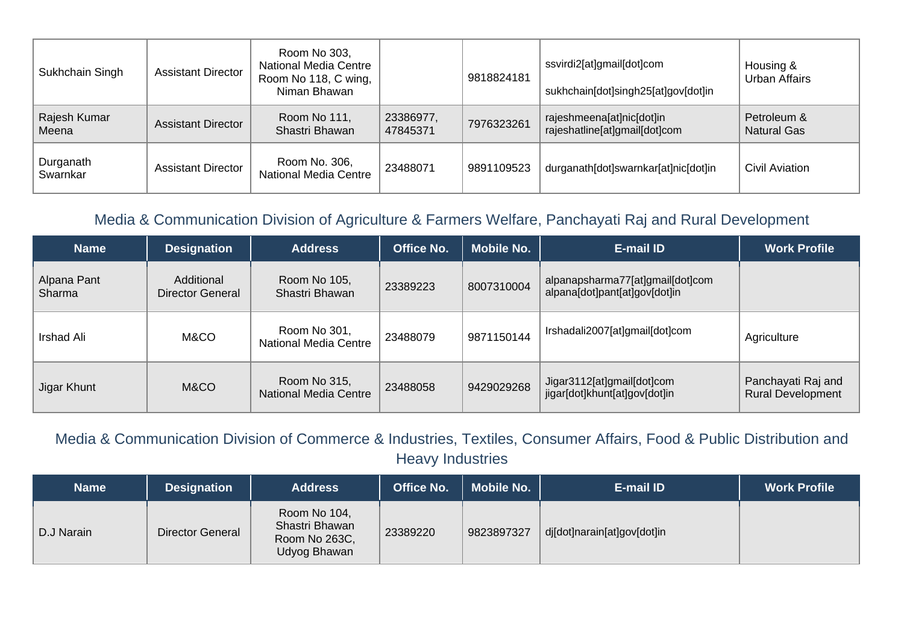| Sukhchain Singh       | <b>Assistant Director</b> | Room No 303,<br><b>National Media Centre</b><br>Room No 118, C wing,<br>Niman Bhawan |                       | 9818824181 | ssvirdi2[at]gmail[dot]com<br>sukhchain[dot]singh25[at]gov[dot]in | Housing &<br>Urban Affairs        |
|-----------------------|---------------------------|--------------------------------------------------------------------------------------|-----------------------|------------|------------------------------------------------------------------|-----------------------------------|
| Rajesh Kumar<br>Meena | <b>Assistant Director</b> | Room No 111,<br>Shastri Bhawan                                                       | 23386977,<br>47845371 | 7976323261 | rajeshmeena[at]nic[dot]in<br>rajeshatline[at]gmail[dot]com       | Petroleum &<br><b>Natural Gas</b> |
| Durganath<br>Swarnkar | <b>Assistant Director</b> | Room No. 306,<br>National Media Centre                                               | 23488071              | 9891109523 | durganath[dot]swarnkar[at]nic[dot]in                             | Civil Aviation                    |

## Media & Communication Division of Agriculture & Farmers Welfare, Panchayati Raj and Rural Development

| <b>Name</b>           | <b>Designation</b>             | <b>Address</b>                               | <b>Office No.</b> | <b>Mobile No.</b> | E-mail ID                                                         | <b>Work Profile</b>                            |
|-----------------------|--------------------------------|----------------------------------------------|-------------------|-------------------|-------------------------------------------------------------------|------------------------------------------------|
| Alpana Pant<br>Sharma | Additional<br>Director General | Room No 105,<br>Shastri Bhawan               | 23389223          | 8007310004        | alpanapsharma77[at]gmail[dot]com<br>alpana[dot]pant[at]gov[dot]in |                                                |
| Irshad Ali            | M&CO                           | Room No 301,<br>National Media Centre        | 23488079          | 9871150144        | Irshadali2007[at]gmail[dot]com                                    | Agriculture                                    |
| Jigar Khunt           | M&CO                           | Room No 315,<br><b>National Media Centre</b> | 23488058          | 9429029268        | Jigar3112[at]gmail[dot]com<br>jigar[dot]khunt[at]gov[dot]in       | Panchayati Raj and<br><b>Rural Development</b> |

Media & Communication Division of Commerce & Industries, Textiles, Consumer Affairs, Food & Public Distribution and Heavy Industries

| <b>Name</b> | <b>Designation</b> | <b>Address</b>                                                  | <b>Office No.</b> | <b>Mobile No.</b> | E-mail ID                   | <b>Work Profile</b> |
|-------------|--------------------|-----------------------------------------------------------------|-------------------|-------------------|-----------------------------|---------------------|
| D.J Narain  | Director General   | Room No 104,<br>Shastri Bhawan<br>Room No 263C,<br>Udyog Bhawan | 23389220          | 9823897327        | dj[dot]narain[at]gov[dot]in |                     |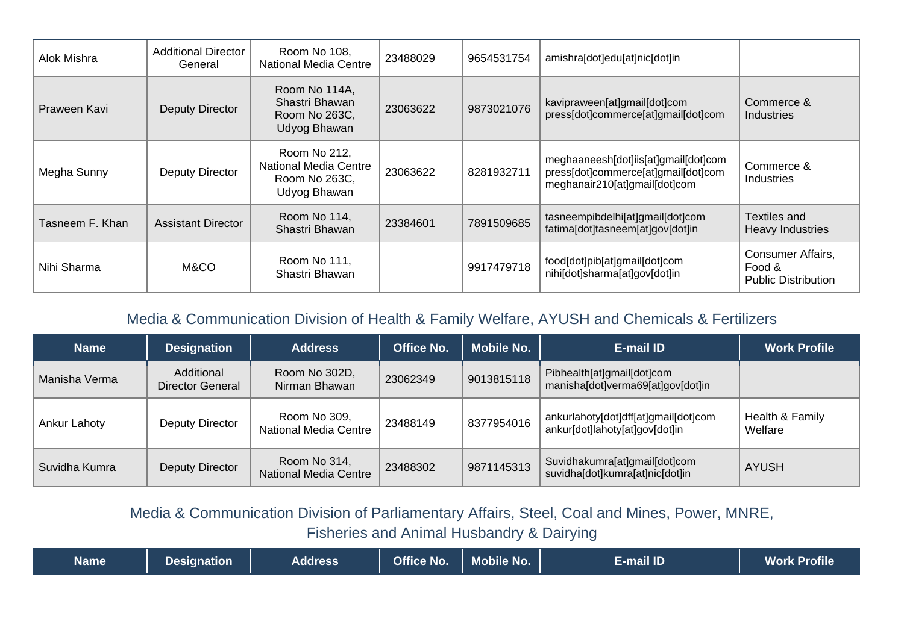| Alok Mishra     | <b>Additional Director</b><br>General | Room No 108,<br><b>National Media Centre</b>                           | 23488029 | 9654531754 | amishra[dot]edu[at]nic[dot]in                                                                                |                                                           |
|-----------------|---------------------------------------|------------------------------------------------------------------------|----------|------------|--------------------------------------------------------------------------------------------------------------|-----------------------------------------------------------|
| Praween Kavi    | <b>Deputy Director</b>                | Room No 114A,<br>Shastri Bhawan<br>Room No 263C,<br>Udyog Bhawan       | 23063622 | 9873021076 | kavipraween[at]gmail[dot]com<br>press[dot]commerce[at]gmail[dot]com                                          | Commerce &<br>Industries                                  |
| Megha Sunny     | Deputy Director                       | Room No 212,<br>National Media Centre<br>Room No 263C,<br>Udyog Bhawan | 23063622 | 8281932711 | meghaaneesh[dot]iis[at]gmail[dot]com<br>press[dot]commerce[at]gmail[dot]com<br>meghanair210[at]gmail[dot]com | Commerce &<br>Industries                                  |
| Tasneem F. Khan | <b>Assistant Director</b>             | Room No 114,<br>Shastri Bhawan                                         | 23384601 | 7891509685 | tasneempibdelhi[at]gmail[dot]com<br>fatima[dot]tasneem[at]gov[dot]in                                         | Textiles and<br>Heavy Industries                          |
| Nihi Sharma     | M&CO                                  | Room No 111,<br>Shastri Bhawan                                         |          | 9917479718 | food[dot]pib[at]gmail[dot]com<br>nihi[dot]sharma[at]gov[dot]in                                               | Consumer Affairs,<br>Food &<br><b>Public Distribution</b> |

### Media & Communication Division of Health & Family Welfare, AYUSH and Chemicals & Fertilizers

| <b>Name</b>   | <b>Designation</b>             | <b>Address</b>                        | <b>Office No.</b> | <b>Mobile No.</b> | E-mail ID                                                              | <b>Work Profile</b>        |
|---------------|--------------------------------|---------------------------------------|-------------------|-------------------|------------------------------------------------------------------------|----------------------------|
| Manisha Verma | Additional<br>Director General | Room No 302D,<br>Nirman Bhawan        | 23062349          | 9013815118        | Pibhealth[at]gmail[dot]com<br>manisha[dot]verma69[at]gov[dot]in        |                            |
| Ankur Lahoty  | Deputy Director                | Room No 309,<br>National Media Centre | 23488149          | 8377954016        | ankurlahoty[dot]dff[at]gmail[dot]com<br>ankur[dot]lahoty[at]gov[dot]in | Health & Family<br>Welfare |
| Suvidha Kumra | Deputy Director                | Room No 314,<br>National Media Centre | 23488302          | 9871145313        | Suvidhakumra[at]gmail[dot]com<br>suvidha[dot]kumra[at]nic[dot]in       | <b>AYUSH</b>               |

Media & Communication Division of Parliamentary Affairs, Steel, Coal and Mines, Power, MNRE, Fisheries and Animal Husbandry & Dairying

| Nameˈ | Designation | <b>Address</b> | <b>Office No.</b> | <b>Mobile No.</b> | E-mail ID | <b>Work Profile</b> |
|-------|-------------|----------------|-------------------|-------------------|-----------|---------------------|
|-------|-------------|----------------|-------------------|-------------------|-----------|---------------------|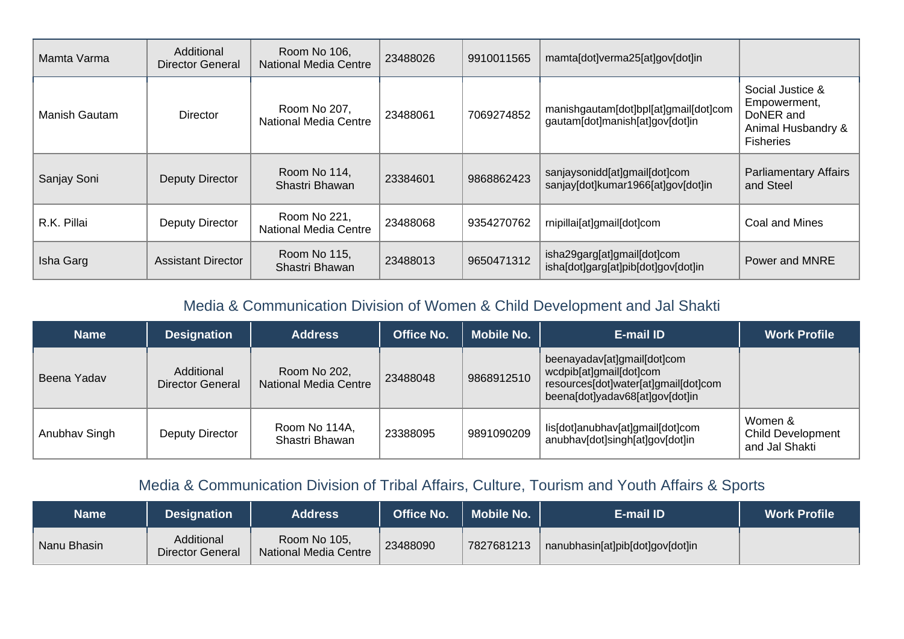| Mamta Varma   | Additional<br>Director General | Room No 106,<br><b>National Media Centre</b> | 23488026 | 9910011565 | mamta[dot]verma25[at]gov[dot]in                                          |                                                                                         |
|---------------|--------------------------------|----------------------------------------------|----------|------------|--------------------------------------------------------------------------|-----------------------------------------------------------------------------------------|
| Manish Gautam | <b>Director</b>                | Room No 207,<br>National Media Centre        | 23488061 | 7069274852 | manishgautam[dot]bpl[at]gmail[dot]com<br>gautam[dot]manish[at]gov[dot]in | Social Justice &<br>Empowerment,<br>DoNER and<br>Animal Husbandry &<br><b>Fisheries</b> |
| Sanjay Soni   | Deputy Director                | Room No 114,<br>Shastri Bhawan               | 23384601 | 9868862423 | sanjaysonidd[at]gmail[dot]com<br>sanjay[dot]kumar1966[at]gov[dot]in      | <b>Parliamentary Affairs</b><br>and Steel                                               |
| R.K. Pillai   | Deputy Director                | Room No 221,<br><b>National Media Centre</b> | 23488068 | 9354270762 | rnipillai[at]gmail[dot]com                                               | Coal and Mines                                                                          |
| Isha Garg     | <b>Assistant Director</b>      | Room No 115,<br>Shastri Bhawan               | 23488013 | 9650471312 | isha29garg[at]gmail[dot]com<br>isha[dot]garg[at]pib[dot]gov[dot]in       | Power and MNRE                                                                          |

## Media & Communication Division of Women & Child Development and Jal Shakti

| <b>Name</b>   | <b>Designation</b>                    | <b>Address</b>                        | <b>Office No.</b> | <b>Mobile No.</b> | E-mail ID                                                                                                                         | <b>Work Profile</b>                                   |
|---------------|---------------------------------------|---------------------------------------|-------------------|-------------------|-----------------------------------------------------------------------------------------------------------------------------------|-------------------------------------------------------|
| Beena Yadav   | Additional<br><b>Director General</b> | Room No 202,<br>National Media Centre | 23488048          | 9868912510        | beenayadav[at]gmail[dot]com<br>wcdpib[at]gmail[dot]com<br>resources[dot]water[at]gmail[dot]com<br>beena[dot]yadav68[at]gov[dot]in |                                                       |
| Anubhav Singh | Deputy Director                       | Room No 114A,<br>Shastri Bhawan       | 23388095          | 9891090209        | lis[dot]anubhav[at]gmail[dot]com<br>anubhav[dot]singh[at]gov[dot]in                                                               | Women &<br><b>Child Development</b><br>and Jal Shakti |

## Media & Communication Division of Tribal Affairs, Culture, Tourism and Youth Affairs & Sports

| <b>Name</b> | <b>Designation</b>                    | <b>Address</b>                               | <b>Office No.</b> | <b>Mobile No.</b> | E-mail ID                        | <b>Work Profile</b> |
|-------------|---------------------------------------|----------------------------------------------|-------------------|-------------------|----------------------------------|---------------------|
| Nanu Bhasin | Additional<br><b>Director General</b> | Room No 105,<br><b>National Media Centre</b> | 23488090          | 7827681213        | nanubhasin[at]pib[dot]gov[dot]in |                     |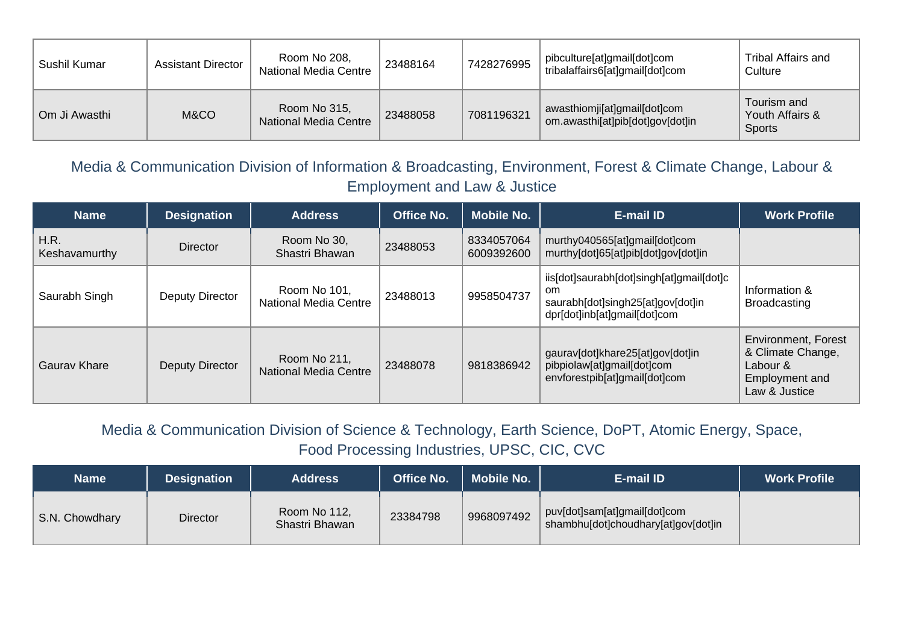| Sushil Kumar  | <b>Assistant Director</b> | Room No 208,<br>National Media Centre        | 23488164 | 7428276995 | pibculture[at]gmail[dot]com<br>tribalaffairs6[at]gmail[dot]com   | Tribal Affairs and<br>Culture                   |
|---------------|---------------------------|----------------------------------------------|----------|------------|------------------------------------------------------------------|-------------------------------------------------|
| Om Ji Awasthi | M&CO                      | Room No 315,<br><b>National Media Centre</b> | 23488058 | 7081196321 | awasthiomji[at]gmail[dot]com<br>om.awasthi[at]pib[dot]gov[dot]in | Tourism and<br>Youth Affairs &<br><b>Sports</b> |

Media & Communication Division of Information & Broadcasting, Environment, Forest & Climate Change, Labour & Employment and Law & Justice

| <b>Name</b>           | <b>Designation</b> | <b>Address</b>                               | <b>Office No.</b> | <b>Mobile No.</b>        | <b>E-mail ID</b>                                                                                                    | <b>Work Profile</b>                                                                            |
|-----------------------|--------------------|----------------------------------------------|-------------------|--------------------------|---------------------------------------------------------------------------------------------------------------------|------------------------------------------------------------------------------------------------|
| H.R.<br>Keshavamurthy | <b>Director</b>    | Room No 30,<br>Shastri Bhawan                | 23488053          | 8334057064<br>6009392600 | murthy040565[at]gmail[dot]com<br>murthy[dot]65[at]pib[dot]gov[dot]in                                                |                                                                                                |
| Saurabh Singh         | Deputy Director    | Room No 101,<br><b>National Media Centre</b> | 23488013          | 9958504737               | iis[dot]saurabh[dot]singh[at]gmail[dot]c<br>om<br>saurabh[dot]singh25[at]gov[dot]in<br>dpr[dot]inb[at]gmail[dot]com | Information &<br><b>Broadcasting</b>                                                           |
| Gauray Khare          | Deputy Director    | Room No 211,<br><b>National Media Centre</b> | 23488078          | 9818386942               | gaurav[dot]khare25[at]gov[dot]in<br>pibpiolaw[at]gmail[dot]com<br>envforestpib[at]gmail[dot]com                     | <b>Environment, Forest</b><br>& Climate Change,<br>Labour &<br>Employment and<br>Law & Justice |

Media & Communication Division of Science & Technology, Earth Science, DoPT, Atomic Energy, Space, Food Processing Industries, UPSC, CIC, CVC

| <b>Name</b>    | <b>Designation</b> | <b>Address</b>                 | <b>Office No.</b> | Mobile No. | E-mail ID                                                           | <b>Work Profile</b> |
|----------------|--------------------|--------------------------------|-------------------|------------|---------------------------------------------------------------------|---------------------|
| S.N. Chowdhary | <b>Director</b>    | Room No 112,<br>Shastri Bhawan | 23384798          | 9968097492 | puv[dot]sam[at]gmail[dot]com<br>shambhu[dot]choudhary[at]gov[dot]in |                     |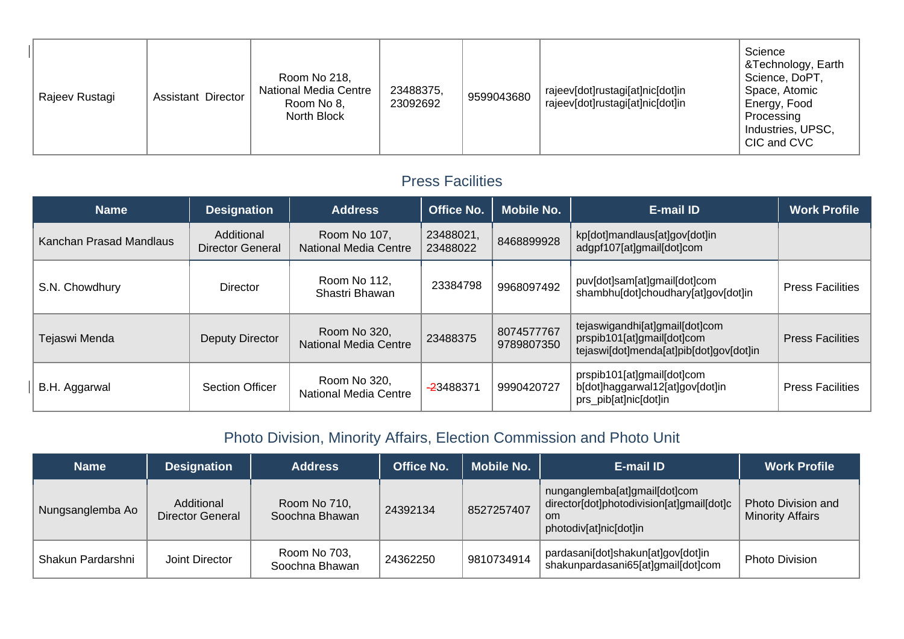| Rajeev Rustagi | <b>Assistant Director</b> | Room No 218,<br><b>National Media Centre</b><br>Room No 8,<br>North Block | 23488375,<br>23092692 | 9599043680 | rajeev[dot]rustagi[at]nic[dot]in<br>rajeev[dot]rustagi[at]nic[dot]in | Science<br>&Technology, Earth<br>Science, DoPT,<br>Space, Atomic<br>Energy, Food<br>Processing<br>Industries, UPSC,<br>CIC and CVC |
|----------------|---------------------------|---------------------------------------------------------------------------|-----------------------|------------|----------------------------------------------------------------------|------------------------------------------------------------------------------------------------------------------------------------|
|----------------|---------------------------|---------------------------------------------------------------------------|-----------------------|------------|----------------------------------------------------------------------|------------------------------------------------------------------------------------------------------------------------------------|

#### Press Facilities

| <b>Name</b>             | <b>Designation</b>                    | <b>Address</b>                               | <b>Office No.</b>     | Mobile No.               | <b>E-mail ID</b>                                                                                        | <b>Work Profile</b>     |
|-------------------------|---------------------------------------|----------------------------------------------|-----------------------|--------------------------|---------------------------------------------------------------------------------------------------------|-------------------------|
| Kanchan Prasad Mandlaus | Additional<br><b>Director General</b> | Room No 107,<br><b>National Media Centre</b> | 23488021,<br>23488022 | 8468899928               | kp[dot]mandlaus[at]gov[dot]in<br>adgpf107[at]gmail[dot]com                                              |                         |
| S.N. Chowdhury          | <b>Director</b>                       | Room No 112,<br>Shastri Bhawan               | 23384798              | 9968097492               | puv[dot]sam[at]gmail[dot]com<br>shambhu[dot]choudhary[at]gov[dot]in                                     | <b>Press Facilities</b> |
| Tejaswi Menda           | <b>Deputy Director</b>                | Room No 320,<br>National Media Centre        | 23488375              | 8074577767<br>9789807350 | tejaswigandhi[at]gmail[dot]com<br>prspib101[at]gmail[dot]com<br>tejaswi[dot]menda[at]pib[dot]gov[dot]in | <b>Press Facilities</b> |
| B.H. Aggarwal           | <b>Section Officer</b>                | Room No 320,<br>National Media Centre        | -23488371             | 9990420727               | prspib101[at]gmail[dot]com<br>b[dot]haggarwal12[at]gov[dot]in<br>prs_pib[at]nic[dot]in                  | <b>Press Facilities</b> |

# Photo Division, Minority Affairs, Election Commission and Photo Unit

| <b>Name</b>       | <b>Designation</b>             | <b>Address</b>                 | <b>Office No.</b> | <b>Mobile No.</b> | E-mail ID                                                                                                             | <b>Work Profile</b>                           |
|-------------------|--------------------------------|--------------------------------|-------------------|-------------------|-----------------------------------------------------------------------------------------------------------------------|-----------------------------------------------|
| Nungsanglemba Ao  | Additional<br>Director General | Room No 710,<br>Soochna Bhawan | 24392134          | 8527257407        | nunganglemba[at]gmail[dot]com<br>director[dot]photodivision[at]gmail[dot]c<br><sub>om</sub><br>photodiv[at]nic[dot]in | Photo Division and<br><b>Minority Affairs</b> |
| Shakun Pardarshni | Joint Director                 | Room No 703,<br>Soochna Bhawan | 24362250          | 9810734914        | pardasani[dot]shakun[at]gov[dot]in<br>shakunpardasani65[at]gmail[dot]com                                              | <b>Photo Division</b>                         |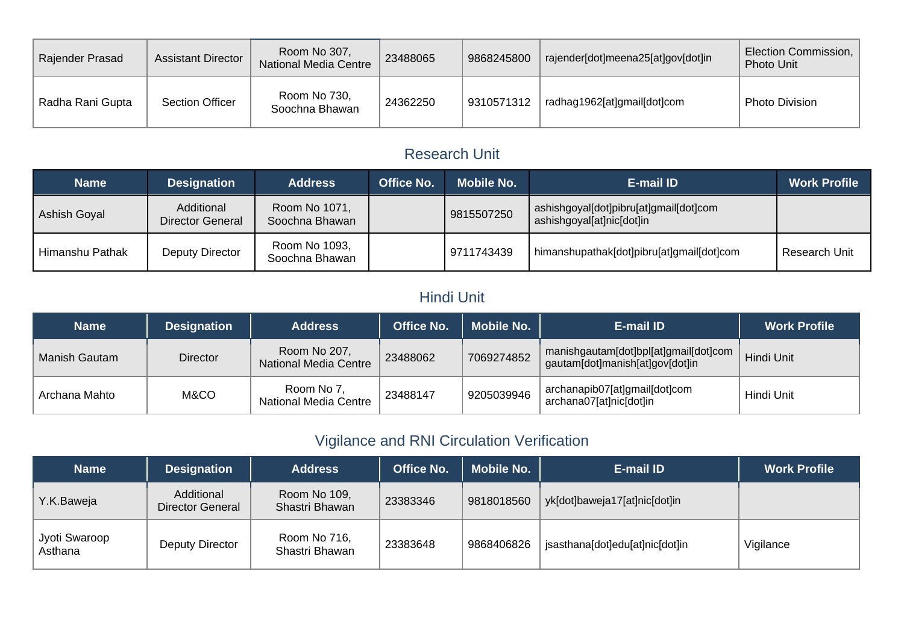| Rajender Prasad  | <b>Assistant Director</b> | Room No 307,<br><b>National Media Centre</b> | 23488065 | 9868245800 | rajender[dot]meena25[at]gov[dot]in | Election Commission,<br><b>Photo Unit</b> |
|------------------|---------------------------|----------------------------------------------|----------|------------|------------------------------------|-------------------------------------------|
| Radha Rani Gupta | <b>Section Officer</b>    | Room No 730,<br>Soochna Bhawan               | 24362250 | 9310571312 | radhag1962[at]gmail[dot]com        | <b>Photo Division</b>                     |

## Research Unit

| <b>Name</b>         | <b>Designation</b>                    | <b>Address</b>                  | <b>Office No.</b> | <b>Mobile No.</b> | <b>E-mail ID</b>                                                    | <b>Work Profile</b> |
|---------------------|---------------------------------------|---------------------------------|-------------------|-------------------|---------------------------------------------------------------------|---------------------|
| <b>Ashish Goyal</b> | Additional<br><b>Director General</b> | Room No 1071,<br>Soochna Bhawan |                   | 9815507250        | ashishgoyal[dot]pibru[at]gmail[dot]com<br>ashishgoyal[at]nic[dot]in |                     |
| Himanshu Pathak     | Deputy Director                       | Room No 1093,<br>Soochna Bhawan |                   | 9711743439        | himanshupathak[dot]pibru[at]gmail[dot]com                           | Research Unit       |

# Hindi Unit

| <b>Name</b>   | <b>Designation</b> | <b>Address</b>                               | <b>Office No.</b> | Mobile No. | <b>E-mail ID</b>                                                         | <b>Work Profile</b> |
|---------------|--------------------|----------------------------------------------|-------------------|------------|--------------------------------------------------------------------------|---------------------|
| Manish Gautam | <b>Director</b>    | Room No 207,<br><b>National Media Centre</b> | 23488062          | 7069274852 | manishgautam[dot]bpl[at]gmail[dot]com<br>gautam[dot]manish[at]gov[dot]in | Hindi Unit          |
| Archana Mahto | M&CO               | Room No 7,<br><b>National Media Centre</b>   | 23488147          | 9205039946 | archanapib07[at]gmail[dot]com<br>archana07[at]nic[dot]in                 | Hindi Unit          |

# Vigilance and RNI Circulation Verification

| <b>Name</b>              | <b>Designation</b>             | <b>Address</b>                 | <b>Office No.</b> | <b>Mobile No.</b> | <b>E-mail ID</b>                | <b>Work Profile</b> |
|--------------------------|--------------------------------|--------------------------------|-------------------|-------------------|---------------------------------|---------------------|
| Y.K.Baweja               | Additional<br>Director General | Room No 109,<br>Shastri Bhawan | 23383346          | 9818018560        | yk[dot]baweja17[at]nic[dot]in   |                     |
| Jyoti Swaroop<br>Asthana | Deputy Director                | Room No 716,<br>Shastri Bhawan | 23383648          | 9868406826        | jsasthana[dot]edu[at]nic[dot]in | Vigilance           |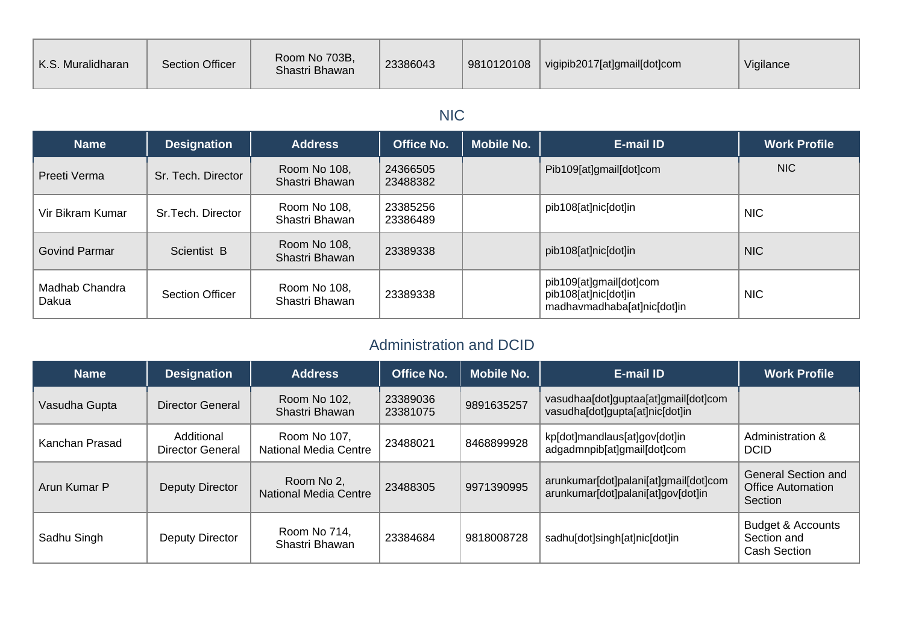| K.S. Muralidharan | <b>Section Officer</b> | Room No 703B,<br>Shastri Bhawan | 23386043 | 9810120108 | vigipib2017[at]gmail[dot]com | Vigilance |
|-------------------|------------------------|---------------------------------|----------|------------|------------------------------|-----------|
|-------------------|------------------------|---------------------------------|----------|------------|------------------------------|-----------|

## NIC

| <b>Name</b>             | <b>Designation</b>     | <b>Address</b>                 | <b>Office No.</b>    | <b>Mobile No.</b> | <b>E-mail ID</b>                                                               | <b>Work Profile</b> |
|-------------------------|------------------------|--------------------------------|----------------------|-------------------|--------------------------------------------------------------------------------|---------------------|
| Preeti Verma            | Sr. Tech. Director     | Room No 108,<br>Shastri Bhawan | 24366505<br>23488382 |                   | Pib109[at]gmail[dot]com                                                        | NIC.                |
| Vir Bikram Kumar        | Sr. Tech. Director     | Room No 108,<br>Shastri Bhawan | 23385256<br>23386489 |                   | pib108[at]nic[dot]in                                                           | <b>NIC</b>          |
| Govind Parmar           | Scientist B            | Room No 108,<br>Shastri Bhawan | 23389338             |                   | pib108[at]nic[dot]in                                                           | <b>NIC</b>          |
| Madhab Chandra<br>Dakua | <b>Section Officer</b> | Room No 108,<br>Shastri Bhawan | 23389338             |                   | pib109[at]gmail[dot]com<br>pib108[at]nic[dot]in<br>madhavmadhaba[at]nic[dot]in | <b>NIC</b>          |

### Administration and DCID

| <b>Name</b>    | <b>Designation</b>             | <b>Address</b>                               | <b>Office No.</b>    | <b>Mobile No.</b> | <b>E-mail ID</b>                                                            | <b>Work Profile</b>                                                |
|----------------|--------------------------------|----------------------------------------------|----------------------|-------------------|-----------------------------------------------------------------------------|--------------------------------------------------------------------|
| Vasudha Gupta  | <b>Director General</b>        | Room No 102.<br>Shastri Bhawan               | 23389036<br>23381075 | 9891635257        | vasudhaa[dot]guptaa[at]gmail[dot]com<br>vasudha[dot]gupta[at]nic[dot]in     |                                                                    |
| Kanchan Prasad | Additional<br>Director General | Room No 107,<br><b>National Media Centre</b> | 23488021             | 8468899928        | kp[dot]mandlaus[at]gov[dot]in<br>adgadmnpib[at]gmail[dot]com                | Administration &<br><b>DCID</b>                                    |
| Arun Kumar P   | Deputy Director                | Room No 2,<br>National Media Centre          | 23488305             | 9971390995        | arunkumar[dot]palani[at]gmail[dot]com<br>arunkumar[dot]palani[at]gov[dot]in | <b>General Section and</b><br><b>Office Automation</b><br>Section  |
| Sadhu Singh    | Deputy Director                | Room No 714,<br>Shastri Bhawan               | 23384684             | 9818008728        | sadhu[dot]singh[at]nic[dot]in                                               | <b>Budget &amp; Accounts</b><br>Section and<br><b>Cash Section</b> |